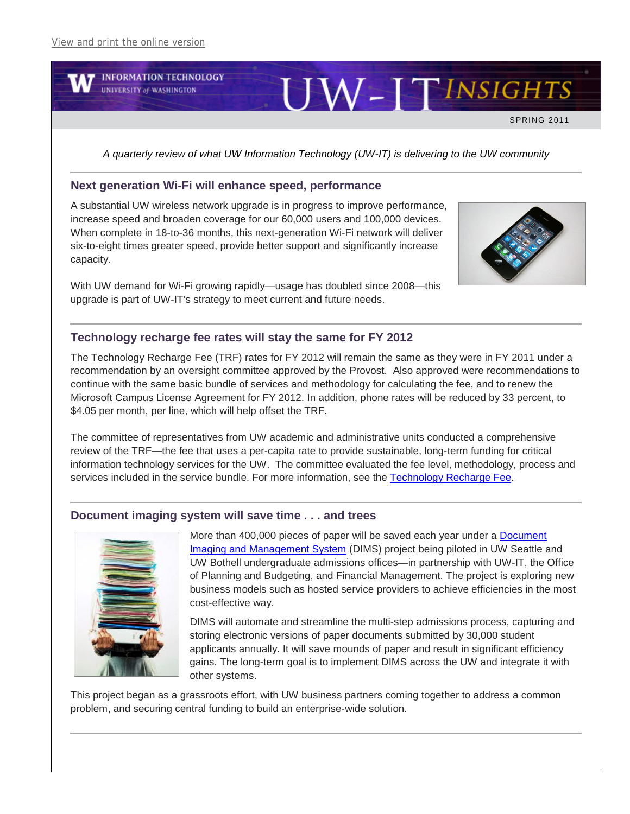

*A quarterly review of what UW Information Technology (UW-IT) is delivering to the UW community*

#### **Next generation Wi-Fi will enhance speed, performance**

A substantial UW wireless network upgrade is in progress to improve performance, increase speed and broaden coverage for our 60,000 users and 100,000 devices. When complete in 18-to-36 months, this next-generation Wi-Fi network will deliver six-to-eight times greater speed, provide better support and significantly increase capacity.

With UW demand for Wi-Fi growing rapidly—usage has doubled since 2008—this upgrade is part of UW-IT's strategy to meet current and future needs.



# **Technology recharge fee rates will stay the same for FY 2012**

The Technology Recharge Fee (TRF) rates for FY 2012 will remain the same as they were in FY 2011 under a recommendation by an oversight committee approved by the Provost. Also approved were recommendations to continue with the same basic bundle of services and methodology for calculating the fee, and to renew the Microsoft Campus License Agreement for FY 2012. In addition, phone rates will be reduced by 33 percent, to \$4.05 per month, per line, which will help offset the TRF.

The committee of representatives from UW academic and administrative units conducted a comprehensive review of the TRF—the fee that uses a per-capita rate to provide sustainable, long-term funding for critical information technology services for the UW. The committee evaluated the fee level, methodology, process and services included in the service bundle. For more information, see the [Technology Recharge Fee.](http://www.washington.edu/uwit/recharge.html)

#### **Document imaging system will save time . . . and trees**



More than 400,000 pieces of paper will be saved each year under a **Document** [Imaging and Management System](https://www.washington.edu/uwit/im/Finance/DIMS/) (DIMS) project being piloted in UW Seattle and UW Bothell undergraduate admissions offices—in partnership with UW-IT, the Office of Planning and Budgeting, and Financial Management. The project is exploring new business models such as hosted service providers to achieve efficiencies in the most cost-effective way.

DIMS will automate and streamline the multi-step admissions process, capturing and storing electronic versions of paper documents submitted by 30,000 student applicants annually. It will save mounds of paper and result in significant efficiency gains. The long-term goal is to implement DIMS across the UW and integrate it with other systems.

This project began as a grassroots effort, with UW business partners coming together to address a common problem, and securing central funding to build an enterprise-wide solution.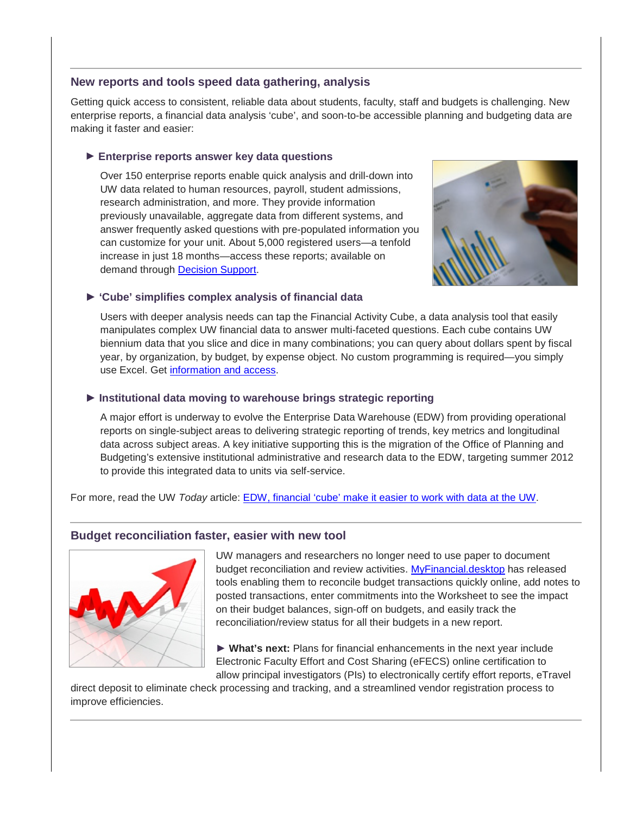### **New reports and tools speed data gathering, analysis**

Getting quick access to consistent, reliable data about students, faculty, staff and budgets is challenging. New enterprise reports, a financial data analysis 'cube', and soon-to-be accessible planning and budgeting data are making it faster and easier:

# **► Enterprise reports answer key data questions**

Over 150 enterprise reports enable quick analysis and drill-down into UW data related to human resources, payroll, student admissions, research administration, and more. They provide information previously unavailable, aggregate data from different systems, and answer frequently asked questions with pre-populated information you can customize for your unit. About 5,000 registered users—a tenfold increase in just 18 months—access these reports; available on demand through [Decision Support.](https://www.washington.edu/uwit/im/ds/)



# **► 'Cube' simplifies complex analysis of financial data**

Users with deeper analysis needs can tap the Financial Activity Cube, a data analysis tool that easily manipulates complex UW financial data to answer multi-faceted questions. Each cube contains UW biennium data that you slice and dice in many combinations; you can query about dollars spent by fiscal year, by organization, by budget, by expense object. No custom programming is required—you simply use Excel. Get [information and access.](https://www.washington.edu/uwit/im/ds/browse-cubes.html)

# **► Institutional data moving to warehouse brings strategic reporting**

A major effort is underway to evolve the Enterprise Data Warehouse (EDW) from providing operational reports on single-subject areas to delivering strategic reporting of trends, key metrics and longitudinal data across subject areas. A key initiative supporting this is the migration of the Office of Planning and Budgeting's extensive institutional administrative and research data to the EDW, targeting summer 2012 to provide this integrated data to units via self-service.

For more, read the UW *Today* article: [EDW, financial 'cube' make it easier to work with data at the UW.](http://www.washington.edu/news/articles/enterprise-data-warehouse-financial-2018cube2019-make-it-easier-to-work-with-data-at-the-uw)

# **Budget reconciliation faster, easier with new tool**



UW managers and researchers no longer need to use paper to document budget reconciliation and review activities. [MyFinancial.desktop](http://www.washington.edu/admin/finacct/office/fd/help/v2/projectupdate.html) has released tools enabling them to reconcile budget transactions quickly online, add notes to posted transactions, enter commitments into the Worksheet to see the impact on their budget balances, sign-off on budgets, and easily track the reconciliation/review status for all their budgets in a new report.

**► What's next:** Plans for financial enhancements in the next year include Electronic Faculty Effort and Cost Sharing (eFECS) online certification to allow principal investigators (PIs) to electronically certify effort reports, eTravel

direct deposit to eliminate check processing and tracking, and a streamlined vendor registration process to improve efficiencies.